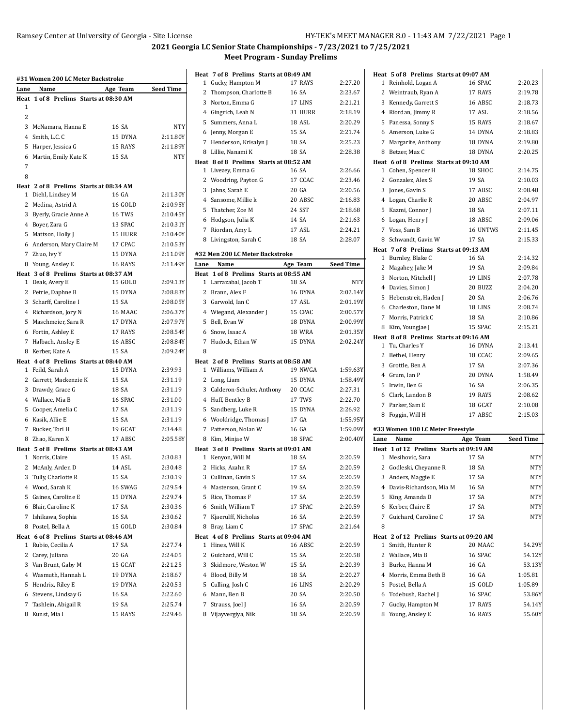| Lane | #31 Women 200 LC Meter Backstroke<br>Name                  | Age Team | Seed Time  |
|------|------------------------------------------------------------|----------|------------|
| Heat | 1 of 8 Prelims Starts at 08:30 AM                          |          |            |
| 1    |                                                            |          |            |
| 2    |                                                            |          |            |
|      | 3 McNamara, Hanna E                                        | 16 SA    | NTY        |
|      | 4 Smith, L.C. C                                            | 15 DYNA  | 2:11.80Y   |
|      | 5 Harper, Jessica G                                        | 15 RAYS  | 2:11.89Y   |
|      | 6 Martin, Emily Kate K                                     | 15 SA    | <b>NTY</b> |
| 7    |                                                            |          |            |
| 8    |                                                            |          |            |
|      | Heat 2 of 8 Prelims Starts at 08:34 AM                     |          |            |
|      | 1 Diehl, Lindsey M                                         | 16 GA    | 2:11.30Y   |
|      | 2 Medina, Astrid A                                         | 16 GOLD  | 2:10.95Y   |
|      | 3 Byerly, Gracie Anne A                                    | 16 TWS   | 2:10.45Y   |
|      | 4 Boyer, Zara G                                            | 13 SPAC  | 2:10.31Y   |
|      | 5 Mattson, Holly J                                         | 15 HURR  | 2:10.40Y   |
|      | 6 Anderson, Mary Claire M                                  | 17 CPAC  | 2:10.53Y   |
|      | 7 Zhuo, Ivy Y                                              | 15 DYNA  | 2:11.09Y   |
|      | 8 Young, Ansley E                                          | 16 RAYS  | 2:11.49Y   |
|      | Heat 3 of 8 Prelims Starts at 08:37 AM                     |          |            |
|      | 1 Deak, Avery E                                            | 15 GOLD  | 2:09.13Y   |
|      | 2 Petrie, Daphne B                                         | 15 DYNA  | 2:08.83Y   |
|      | 3 Scharff, Caroline I                                      | 15 SA    | 2:08.05Y   |
|      | 4 Richardson, Jory N                                       | 16 MAAC  | 2:06.37Y   |
|      | 5 Maschmeier, Sara R                                       | 17 DYNA  | 2:07.97Y   |
|      | 6 Fortin, Ashley E                                         | 17 RAYS  | 2:08.54Y   |
|      | 7 Halbach, Ansley E                                        | 16 ABSC  | 2:08.84Y   |
|      | 8 Kerber, Kate A                                           | 15 SA    | 2:09.24Y   |
|      | Heat 4 of 8 Prelims Starts at 08:40 AM<br>1 Feild, Sarah A | 15 DYNA  | 2:39.93    |
|      | 2 Garrett, Mackenzie K                                     | 15 SA    | 2:31.19    |
|      | 3 Drawdy, Grace G                                          | 18 SA    | 2:31.19    |
|      | 4 Wallace, Mia B                                           | 16 SPAC  | 2:31.00    |
|      | 5 Cooper, Amelia C                                         | 17 SA    | 2:31.19    |
|      | 6 Kasik, Allie E                                           | 15 SA    | 2:31.19    |
|      | 7 Rucker, Tori H                                           | 19 GCAT  | 2:34.48    |
|      | 8 Zhao, Karen X                                            | 17 ABSC  | 2:05.58Y   |
|      | Heat 5 of 8 Prelims Starts at 08:43 AM                     |          |            |
|      | 1 Norris, Claire                                           | 15 ASL   | 2:30.83    |
|      | 2 McAnly, Arden D                                          | 14 ASL   | 2:30.48    |
| 3    | Tully, Charlotte R                                         | 15 SA    | 2:30.19    |
|      | 4 Wood, Sarah K                                            | 16 SWAG  | 2:29.54    |
| 5    | Gaines, Caroline E                                         | 15 DYNA  | 2:29.74    |
|      | 6 Blair, Caroline K                                        | 17 SA    | 2:30.36    |
| 7    | Ishikawa, Sophia                                           | 16 SA    | 2:30.62    |
|      | 8 Postel, Bella A                                          | 15 GOLD  | 2:30.84    |
|      | Heat 6 of 8 Prelims Starts at 08:46 AM                     |          |            |
| 1    | Rubio, Cecilia A                                           | 17 SA    | 2:27.74    |
| 2    | Carey, Juliana                                             | 20 GA    | 2:24.05    |
|      | 3 Van Brunt, Gaby M                                        | 15 GCAT  | 2:21.25    |
|      | 4 Wasmuth, Hannah L                                        | 19 DYNA  | 2:18.67    |
|      | 5 Hendrix, Riley E                                         | 19 DYNA  | 2:20.53    |
|      | 6 Stevens, Lindsay G                                       | 16 SA    | 2:22.60    |
|      | 7 Tashlein, Abigail R                                      | 19 SA    | 2:25.74    |
|      | 8 Kunst, Mia I                                             | 15 RAYS  | 2:29.46    |

|      | Heat 7 of 8 Prelims Starts at 08:49 AM |               |                  |
|------|----------------------------------------|---------------|------------------|
| 1    | Gucky, Hampton M                       | 17 RAYS       | 2:27.20          |
| 2    | Thompson, Charlotte B                  | 16 SA         | 2:23.67          |
| 3    | Norton, Emma G                         | 17 LINS       | 2:21.21          |
|      | 4 Gingrich, Leah N                     | 31 HURR       | 2:18.19          |
|      | 5 Summers, Anna L                      | 18 ASL        | 2:20.29          |
|      | 6 Jenny, Morgan E                      | 15 SA         | 2:21.74          |
| 7    | Henderson, Krisalyn J                  | 18 SA         | 2:25.23          |
|      | 8 Lillie, Nanami K                     | 18 SA         | 2:28.38          |
|      | Heat 8 of 8 Prelims Starts at 08:52 AM |               |                  |
| 1    | Livezey, Emma G                        | 16 SA         | 2:26.66          |
| 2    | Woodring, Payton G                     | 17 CCAC       | 2:23.46          |
| 3    | Jahns, Sarah E                         | 20 GA         | 2:20.56          |
|      | 4 Sansome, Millie k                    | 20 ABSC       | 2:16.83          |
| 5    | Thatcher, Zoe M                        | 24 SST        | 2:18.68          |
|      | 6 Hodgson, Julia K                     | 14 SA         | 2:21.63          |
|      | 7 Riordan, Amy L                       | 17 ASL        | 2:24.21          |
|      | 8 Livingston, Sarah C                  | 18 SA         | 2:28.07          |
|      | #32 Men 200 LC Meter Backstroke        |               |                  |
| Lane | Name                                   | Age Team      | <b>Seed Time</b> |
|      | Heat 1 of 8 Prelims Starts at 08:55 AM |               |                  |
| 1    | Larrazabal, Jacob T                    | 18 SA         | NTY              |
| 2    | Brann, Alex F                          | 16 DYNA       | 2:02.14Y         |
|      | 3 Garwold, Ian C                       | 17 ASL        | 2:01.19Y         |
|      | 4 Wiegand, Alexander J                 | 15 CPAC       | 2:00.57Y         |
| 5    | Bell, Evan W                           | 18 DYNA       | 2:00.99Y         |
| 6    | Snow, Isaac A                          | <b>18 WRA</b> | 2:01.35Y         |
| 7    | Hudock, Ethan W                        | 15 DYNA       | 2:02.24Y         |
| 8    |                                        |               |                  |
|      | Heat 2 of 8 Prelims Starts at 08:58 AM |               |                  |
|      | 1 Williams, William A                  | 19 NWGA       | 1:59.63Y         |
| 2    | Long, Liam                             | 15 DYNA       | 1:58.49Y         |
|      | 3 Calderon-Schuler, Anthony            | 20 CCAC       | 2:27.31          |
|      | 4 Huff, Bentley B                      | 17 TWS        | 2:22.70          |
| 5    | Sandberg, Luke R                       | 15 DYNA       | 2:26.92          |
|      | 6 Wooldridge, Thomas J                 | 17 GA         | 1:55.95Y         |
|      | 7 Patterson, Nolan W                   | 16 GA         | 1:59.09Y         |
| 8    | Kim, Minjae W                          | 18 SPAC       | 2:00.40Y         |
|      | Heat 3 of 8 Prelims Starts at 09:01 AM |               |                  |
| 1    | Kenyon, Will M                         | 18 SA         | 2:20.59          |
| 2    | Hicks, Azahn R                         | 17 SA         | 2:20.59          |
|      | 3 Cullinan, Gavin S                    | 17 SA         | 2:20.59          |
|      | 4 Masterson, Grant C                   | 19 SA         | 2:20.59          |
| 5    | Rice, Thomas F                         | 17 SA         | 2:20.59          |
|      | 6 Smith, William T                     | 17 SPAC       | 2:20.59          |
|      | 7 Kjaerulff, Nicholas                  | 16 SA         | 2:20.59          |
| 8    | Bray, Liam C                           | 17 SPAC       | 2:21.64          |
|      | Heat 4 of 8 Prelims Starts at 09:04 AM |               |                  |
| 1    | Hines, Will K                          | 16 ABSC       | 2:20.59          |
| 2    | Guichard, Will C                       | 15 SA         | 2:20.58          |
|      | 3 Skidmore, Weston W                   | 15 SA         | 2:20.39          |
|      | 4 Blood, Billy M                       | 18 SA         | 2:20.27          |
| 5    | Culling, Josh C                        | 16 LINS       | 2:20.29          |
| 6    | Mann, Ben B                            | 20 SA         | 2:20.50          |
| 7    | Strauss, Joel J                        | 16 SA         | 2:20.59          |
|      | 8 Vijayvergiya, Nik                    | 18 SA         | 2:20.59          |
|      |                                        |               |                  |

|      | Heat 5 of 8 Prelims Starts at 09:07 AM                    |                    |                  |
|------|-----------------------------------------------------------|--------------------|------------------|
|      | 1 Reinhold, Logan A                                       | 16 SPAC            | 2:20.23          |
|      | 2 Weintraub, Ryan A                                       | 17 RAYS            | 2:19.78          |
|      | 3 Kennedy, Garrett S                                      | 16 ABSC            | 2:18.73          |
|      | 4 Riordan, Jimmy R                                        | 17 ASL             | 2:18.56          |
|      | 5 Panessa, Sonny S                                        | 15 RAYS            | 2:18.67          |
|      | 6 Amerson, Luke G                                         | 14 DYNA            | 2:18.83          |
|      | 7 Margarite, Anthony                                      | 18 DYNA            | 2:19.80          |
|      | 8 Betzer, Max C                                           | 18 DYNA            | 2:20.25          |
|      | Heat 6 of 8 Prelims Starts at 09:10 AM                    |                    |                  |
|      | 1 Cohen, Spencer H                                        | 18 SHOC            | 2:14.75          |
|      | 2 Gonzalez, Alex S                                        | 19 SA              | 2:10.03          |
|      | 3 Jones, Gavin S                                          | 17 ABSC            | 2:08.48          |
|      | 4 Logan, Charlie R                                        | 20 ABSC            | 2:04.97          |
|      | 5 Kazmi, Connor J                                         | 18 SA              | 2:07.11          |
|      | 6 Logan, Henry J                                          | 18 ABSC            | 2:09.06          |
|      | 7 Voss, Sam B                                             | 16 UNTWS           | 2:11.45          |
|      | 8 Schwandt, Gavin W                                       | 17 SA              | 2:15.33          |
|      | Heat 7 of 8 Prelims Starts at 09:13 AM                    |                    |                  |
|      | 1 Burnley, Blake C                                        | 16 SA              | 2:14.32          |
|      | 2 Magahey, Jake M                                         | 19 SA              | 2:09.84          |
|      | 3 Norton, Mitchell J                                      | 19 LINS            | 2:07.78          |
|      | 4 Davies, Simon J                                         | 20 BUZZ            | 2:04.20          |
|      | 5 Hebenstreit, Haden J                                    | 20 SA              | 2:06.76          |
|      | 6 Charleston, Dane M                                      | 18 LINS            | 2:08.74          |
|      | 7 Morris, Patrick C                                       | 18 SA              | 2:10.86          |
|      | 8 Kim, Youngjae J                                         | 15 SPAC            | 2:15.21          |
|      | Heat 8 of 8 Prelims Starts at 09:16 AM<br>1 Tu, Charles Y | 16 DYNA            | 2:13.41          |
|      | 2 Bethel, Henry                                           | 18 CCAC            | 2:09.65          |
|      | 3 Grottle, Ben A                                          | 17 SA              | 2:07.36          |
|      | 4 Grum, Ian P                                             | 20 DYNA            | 1:58.49          |
|      | 5 Irwin, Ben G                                            | 16 SA              | 2:06.35          |
|      | 6 Clark, Landon B                                         | 19 RAYS            | 2:08.62          |
|      | 7 Parker, Sam E                                           | 18 GCAT            | 2:10.08          |
| 8    | Foggin, Will H                                            | 17 ABSC            | 2:15.03          |
|      |                                                           |                    |                  |
|      | #33 Women 100 LC Meter Freestyle                          |                    |                  |
| Lane | Name                                                      | Age Team           | <b>Seed Time</b> |
|      | Heat 1 of 12 Prelims Starts at 09:19 AM                   |                    |                  |
|      | 1 Mesihovic, Sara                                         | 17 SA              | NTY              |
|      | 2 Godleski, Cheyanne R                                    | 18 SA              | NTY              |
| 3    | Anders, Maggie E                                          | 17 SA              | NTY              |
|      | 4 Davis-Richardson, Mia M                                 | 16 SA              | NTY              |
|      | 5 King, Amanda D                                          | 17 SA              | NTY              |
|      | 6 Kerber, Claire E                                        | 17 SA              | NTY              |
|      |                                                           |                    |                  |
| 8    | 7 Guichard, Caroline C                                    | 17 SA              | NTY              |
|      |                                                           |                    |                  |
| Heat | 2 of 12 Prelims Starts at 09:20 AM                        |                    |                  |
| 1    | Smith, Hunter R                                           | 20 MAAC            | 54.29Y           |
|      | 2 Wallace, Mia B                                          | 16 SPAC            | 54.12Y           |
|      | 3 Burke, Hanna M                                          | 16 GA              | 53.13Y           |
|      | 4 Morris, Emma Beth B                                     | 16 GA              | 1:05.81          |
|      | 5 Postel, Bella A                                         | 15 GOLD            | 1:05.89          |
|      | 6 Todebush, Rachel J                                      | 16 SPAC            | 53.86Y           |
|      | 7 Gucky, Hampton M<br>8 Young, Ansley E                   | 17 RAYS<br>16 RAYS | 54.14Y<br>55.60Y |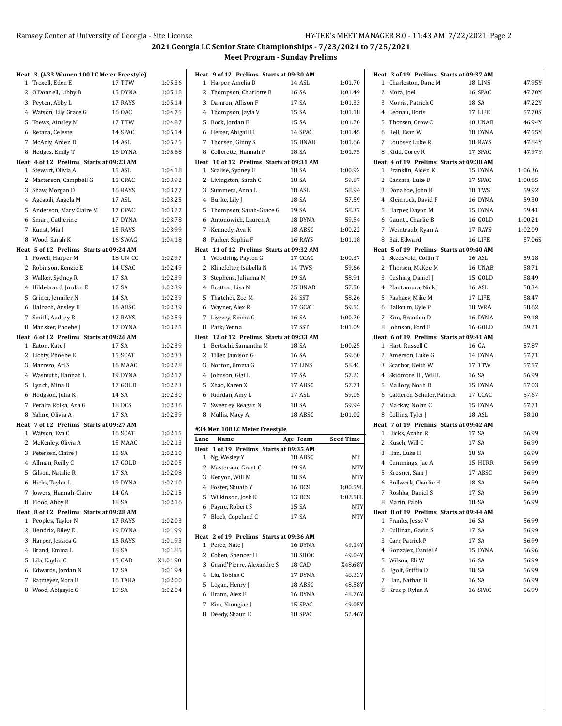|   | Heat 3 (#33 Women 100 LC Meter Freestyle) |          |          |
|---|-------------------------------------------|----------|----------|
|   | 1 Troxell, Eden E                         | 17 TTW   | 1:05.36  |
|   | 2 O'Donnell, Libby B                      | 15 DYNA  | 1:05.18  |
|   | 3 Peyton, Abby L                          | 17 RAYS  | 1:05.14  |
|   | 4 Watson, Lily Grace G                    | 16 OAC   | 1:04.75  |
|   | 5 Toews, Ainsley M                        | 17 TTW   | 1:04.87  |
|   | 6 Retana, Celeste                         | 14 SPAC  | 1:05.14  |
|   | 7 McAnly, Arden D                         | 14 ASL   | 1:05.25  |
| 8 | Hedges, Emily T                           | 16 DYNA  | 1:05.68  |
|   | Heat 4 of 12 Prelims Starts at 09:23 AM   |          |          |
|   | 1 Stewart, Olivia A                       | 15 ASL   | 1:04.18  |
|   | 2 Masterson, Campbell G                   | 15 CPAC  | 1:03.92  |
|   | 3 Shaw, Morgan D                          | 16 RAYS  | 1:03.77  |
|   | 4 Agcaoili, Angela M                      | 17 ASL   | 1:03.25  |
|   | 5 Anderson, Mary Claire M                 | 17 CPAC  | 1:03.27  |
|   | 6 Smart, Catherine                        | 17 DYNA  | 1:03.78  |
|   | 7 Kunst, Mia I                            | 15 RAYS  | 1:03.99  |
|   | 8 Wood, Sarah K                           | 16 SWAG  | 1:04.18  |
|   | Heat 5 of 12 Prelims Starts at 09:24 AM   |          |          |
|   | 1 Powell, Harper M                        | 18 UN-CC | 1:02.97  |
|   | 2 Robinson, Kenzie E                      | 14 USAC  | 1:02.49  |
|   | 3 Walker, Sydney R                        | 17 SA    | 1:02.39  |
|   | 4 Hildebrand, Jordan E                    | 17 SA    | 1:02.39  |
|   | 5 Griner, Jennifer N                      | 14 SA    | 1:02.39  |
|   | 6 Halbach, Ansley E                       | 16 ABSC  | 1:02.39  |
|   | 7 Smith, Audrey R                         | 17 RAYS  | 1:02.59  |
|   | 8 Mansker, Phoebe J                       | 17 DYNA  | 1:03.25  |
|   | Heat 6 of 12 Prelims Starts at 09:26 AM   | 17 SA    | 1:02.39  |
|   | 1 Eaton, Kate J                           | 15 SCAT  | 1:02.33  |
|   | 2 Lichty, Phoebe E<br>3 Marrero, Ari S    | 16 MAAC  | 1:02.28  |
|   | 4 Wasmuth, Hannah L                       | 19 DYNA  | 1:02.17  |
|   |                                           | 17 GOLD  | 1:02.23  |
|   | 5 Lynch, Mina B<br>6 Hodgson, Julia K     | 14 SA    | 1:02.30  |
|   | 7 Peralta Rolka, Ana G                    | 18 DCS   | 1:02.36  |
|   | 8 Yahne, Olivia A                         | 17 SA    | 1:02.39  |
|   | Heat 7 of 12 Prelims Starts at 09:27 AM   |          |          |
|   | 1 Watson, Eva C                           | 16 SCAT  | 1:02.15  |
|   | 2 McKenley, Olivia A                      | 15 MAAC  | 1:02.13  |
|   | 3 Petersen, Claire J                      | 15 SA    | 1:02.10  |
|   | 4 Allman, Reilly C                        | 17 GOLD  | 1:02.05  |
|   | 5 Gilson, Natalie R                       | 17 SA    | 1:02.08  |
|   | 6 Hicks, Taylor L                         | 19 DYNA  | 1:02.10  |
|   | 7 Jowers, Hannah-Claire                   | 14 GA    | 1:02.15  |
| 8 | Flood, Abby R                             | 18 SA    | 1:02.16  |
|   | Heat 8 of 12 Prelims Starts at 09:28 AM   |          |          |
| 1 | Peoples, Taylor N                         | 17 RAYS  | 1:02.03  |
| 2 | Hendrix, Riley E                          | 19 DYNA  | 1:01.99  |
|   | 3 Harper, Jessica G                       | 15 RAYS  | 1:01.93  |
|   | 4 Brand, Emma L                           | 18 SA    | 1:01.85  |
|   | 5 Lila, Kaylin C                          | 15 CAD   | X1:01.90 |
|   | 6 Edwards, Jordan N                       | 17 SA    | 1:01.94  |
| 7 | Ratmeyer, Nora B                          | 16 TARA  | 1:02.00  |
|   | 8 Wood, Abigayle G                        | 19 SA    | 1:02.04  |

| Heat 9 of 12 Prelims Starts at 09:30 AM  |          |                  |
|------------------------------------------|----------|------------------|
| Harper, Amelia D<br>1                    | 14 ASL   | 1:01.70          |
| 2<br>Thompson, Charlotte B               | 16 SA    | 1:01.49          |
| 3<br>Damron, Allison F                   | 17 SA    | 1:01.33          |
| 4 Thompson, Jayla V                      | 15 SA    | 1:01.18          |
| 5<br>Bock, Jordan E                      | 15 SA    | 1:01.20          |
| 6 Heizer, Abigail H                      | 14 SPAC  | 1:01.45          |
| 7 Thorsen, Ginny S                       | 15 UNAB  | 1:01.66          |
| 8<br>Collerette, Hannah P                | 18 SA    | 1:01.75          |
| Heat 10 of 12 Prelims Starts at 09:31 AM |          |                  |
| Scalise, Sydney E<br>1                   | 18 SA    | 1:00.92          |
| 2<br>Livingston, Sarah C                 | 18 SA    | 59.87            |
| 3<br>Summers, Anna L                     | 18 ASL   | 58.94            |
| 4 Burke, Lily J                          | 18 SA    | 57.59            |
| 5<br>Thompson, Sarah-Grace G             | 19 SA    | 58.37            |
| 6 Antonowich, Lauren A                   | 18 DYNA  | 59.54            |
| 7 Kennedy, Ava K                         | 18 ABSC  | 1:00.22          |
| Parker, Sophia F<br>8                    | 16 RAYS  | 1:01.18          |
| Heat 11 of 12 Prelims Starts at 09:32 AM |          |                  |
| 1 Woodring, Payton G                     | 17 CCAC  | 1:00.37          |
| 2<br>Klinefelter, Isabella N             | 14 TWS   | 59.66            |
| 3<br>Stephens, Julianna M                | 19 SA    | 58.91            |
| 4 Bratton, Lisa N                        | 25 UNAB  | 57.50            |
| Thatcher, Zoe M<br>5                     | 24 SST   | 58.26            |
| 6 Wayner, Alex R                         | 17 GCAT  | 59.53            |
| 7<br>Livezey, Emma G                     | 16 SA    | 1:00.20          |
| Park, Yenna<br>8                         | 17 SST   | 1:01.09          |
| Heat 12 of 12 Prelims Starts at 09:33 AM |          |                  |
| Bertschi, Samantha M<br>1                | 18 SA    | 1:00.25          |
| 2<br>Tiller, Jamison G                   | 16 SA    | 59.60            |
| 3<br>Norton, Emma G                      | 17 LINS  | 58.43            |
| 4<br>Johnson, Gigi L                     | 17 SA    | 57.23            |
| Zhao, Karen X<br>5                       | 17 ABSC  | 57.71            |
| 6<br>Riordan, Amy L                      | 17 ASL   | 59.05            |
| 7<br>Sweeney, Reagan N                   | 18 SA    | 59.94            |
| 8 Mullis, Macy A                         | 18 ABSC  | 1:01.02          |
| #34 Men 100 LC Meter Freestyle           |          |                  |
| Lane<br>Name                             | Age Team | <b>Seed Time</b> |
| Heat 1 of 19 Prelims Starts at 09:35 AM  |          |                  |
| 1 Ng, Wesley Y                           | 18 ABSC  | NT               |
| 2 Masterson, Grant C                     | 19 SA    | <b>NTY</b>       |
| 3<br>Kenyon, Will M                      | 18 SA    | <b>NTY</b>       |
| Foster, Shuaib Y<br>4                    | 16 DCS   | 1:00.59L         |
| 5<br>Wilkinson, Josh K                   | 13 DCS   | 1:02.58L         |
| Payne, Robert S<br>6                     | 15 SA    | <b>NTY</b>       |
| 7<br>Block, Copeland C                   | 17 SA    | NTY              |
| 8                                        |          |                  |
| Heat 2 of 19 Prelims Starts at 09:36 AM  |          |                  |
| Perez, Nate J<br>1                       | 16 DYNA  | 49.14Y           |
| 2<br>Cohen, Spencer H                    | 18 SHOC  | 49.04Y           |
| Grand'Pierre, Alexandre S<br>3           | 18 CAD   | X48.68Y          |
| 4<br>Liu, Tobias C                       | 17 DYNA  | 48.33Y           |
| 5<br>Logan, Henry J                      | 18 ABSC  | 48.58Y           |
| Brann, Alex F<br>6                       | 16 DYNA  | 48.76Y           |
| 7<br>Kim, Youngjae J                     |          |                  |
|                                          | 15 SPAC  | 49.05Y           |
| 8 Deedy, Shaun E                         | 18 SPAC  | 52.46Y           |

| Heat 3 of 19 Prelims Starts at 09:37 AM |                |         |
|-----------------------------------------|----------------|---------|
| 1 Charleston, Dane M                    | 18 LINS        | 47.95Y  |
| 2 Mora, Joel                            | 16 SPAC        | 47.70Y  |
| 3 Morris, Patrick C                     | 18 SA          | 47.22Y  |
| 4 Leonau, Boris                         | 17 LIFE        | 57.70S  |
| 5<br>Thorsen, Crow C                    | 18 UNAB        | 46.94Y  |
| 6 Bell, Evan W                          | 18 DYNA        | 47.55Y  |
| 7 Loubser, Luke R                       | 18 RAYS        | 47.84Y  |
| 8 Kidd, Corey R                         | 17 SPAC        | 47.97Y  |
| Heat 4 of 19 Prelims Starts at 09:38 AM |                |         |
| 1 Franklin, Aiden K                     | 15 DYNA        | 1:06.36 |
| 2 Cassara, Luke D                       | 17 SPAC        | 1:00.65 |
| 3 Donahoe, John R                       | 18 TWS         | 59.92   |
| 4 Kleinrock, David P                    | 16 DYNA        | 59.30   |
| 5 Harper, Dayon M                       | 15 DYNA        | 59.41   |
| 6 Gauntt, Charlie B                     | 16 GOLD        | 1:00.21 |
| 7 Weintraub, Ryan A                     | 17 RAYS        | 1:02.09 |
| 8 Bai, Edward                           | 16 LIFE        | 57.06S  |
| Heat 5 of 19 Prelims Starts at 09:40 AM |                |         |
| 1 Skedsvold, Collin T                   | 16 ASL         | 59.18   |
| 2 Thorsen, McKee M                      | 16 UNAB        | 58.71   |
| 3 Cushing, Daniel J                     | 15 GOLD        | 58.49   |
| 4 Plantamura, Nick J                    | 16 ASL         | 58.34   |
| 5 Pashaev, Mike M                       | 17 LIFE        | 58.47   |
| 6 Balkcum, Kyle P                       | 18 WRA         | 58.62   |
| 7 Kim, Brandon D                        | 16 DYNA        | 59.18   |
| 8 Johnson, Ford F                       | <b>16 GOLD</b> | 59.21   |
| Heat 6 of 19 Prelims Starts at 09:41 AM |                |         |
| Hart, Russell C<br>1                    | 16 GA          | 57.87   |
| 2 Amerson, Luke G                       | 14 DYNA        | 57.71   |
| 3 Scarbor, Keith W                      | 17 TTW         | 57.57   |
| 4 Skidmore III, Will L                  | 16 SA          | 56.99   |
| 5 Mallory, Noah D                       | 15 DYNA        | 57.03   |
| 6 Calderon-Schuler, Patrick             | 17 CCAC        | 57.67   |
| 7 Mackay, Nolan C                       | 15 DYNA        | 57.71   |
| Collins, Tyler J<br>8                   | 18 ASL         | 58.10   |
| Heat 7 of 19 Prelims Starts at 09:42 AM |                |         |
| Hicks, Azahn R<br>1                     | 17 SA          | 56.99   |
| 2 Kusch, Will C                         | 17 SA          | 56.99   |
| 3<br>Han, Luke H                        | 18 SA          | 56.99   |
| 4 Cummings, Jac A                       | 15 HURR        | 56.99   |
| 5 Krosner, Sam J                        | 17 ABSC        | 56.99   |
| 6 Bollwerk, Charlie H                   | 18 SA          | 56.99   |
| 7 Roshka, Daniel S                      | 17 SA          | 56.99   |
| Marin, Pablo<br>8                       | 18 SA          | 56.99   |
| Heat 8 of 19 Prelims Starts at 09:44 AM |                |         |
| 1<br>Franks, Jesse V                    | 16 SA          | 56.99   |
| 2 Cullinan, Gavin S                     | 17 SA          | 56.99   |
| 3 Carr, Patrick P                       | 17 SA          | 56.99   |
| 4 Gonzalez, Daniel A                    | 15 DYNA        | 56.96   |
| 5 Wilson, Eli W                         | 16 SA          | 56.99   |
| 6 Egolf, Griffin D                      | 18 SA          | 56.99   |
| 7 Han, Nathan B                         | 16 SA          | 56.99   |
| 8 Kruep, Rylan A                        | 16 SPAC        | 56.99   |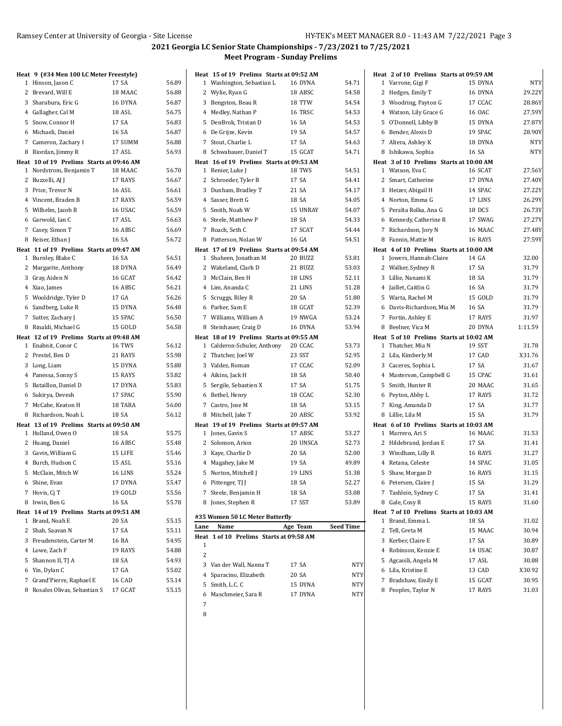# **2021 Georgia LC Senior State Championships - 7/23/2021 to 7/25/2021 Meet Program - Sunday Prelims**

| Heat 9 (#34 Men 100 LC Meter Freestyle)  |                  | Heat 15 of 19 Prelims Starts at 09:52 AM |          |            | Heat 2 of 10 Prelims Starts at 09:59 AM |                  |           |
|------------------------------------------|------------------|------------------------------------------|----------|------------|-----------------------------------------|------------------|-----------|
| 1 Hinson, Jason C                        | 56.89<br>17 SA   | 1 Washington, Sebastian L                | 16 DYNA  | 54.71      | 1 Varrone, Gigi F                       | 15 DYNA          | NT        |
| 2 Brevard, Will E                        | 56.88<br>18 MAAC | 2 Wylie, Ryan G                          | 18 ABSC  | 54.58      | 2 Hedges, Emily T                       | 16 DYNA          | 29.22     |
| 3 Sharabura, Eric G                      | 56.87<br>16 DYNA | 3 Bengston, Beau R                       | 18 TTW   | 54.54      | 3 Woodring, Payton G                    | 17 CCAC          | 28.86     |
| 4 Gallagher, Cal M                       | 18 ASL<br>56.75  | 4 Medley, Nathan P                       | 16 TRSC  | 54.53      | 4 Watson, Lily Grace G                  | 16 OAC           | 27.59     |
| 5 Snow, Connor H                         | 17 SA<br>56.83   | 5 DenBrok, Tristan D                     | 16 SA    | 54.53      | 5 O'Donnell, Libby B                    | 15 DYNA          | 27.87     |
| 6 Michaeli, Daniel                       | 56.87<br>16 SA   | 6 De Grijze, Kevin                       | 19 SA    | 54.57      | 6 Bender, Alexis D                      | 19 SPAC          | 28.90     |
| 7 Cameron, Zachary I                     | 17 SUMM<br>56.88 | 7 Stout, Charlie L                       | 17 SA    | 54.63      | 7 Altera, Ashley K                      | 18 DYNA          | NT        |
| 8 Riordan, Jimmy R                       | 56.93<br>17 ASL  | 8 Schwabauer, Daniel T                   | 15 GCAT  | 54.71      | 8 Ishikawa, Sophia                      | 16 SA            | <b>NT</b> |
| Heat 10 of 19 Prelims Starts at 09:46 AM |                  | Heat 16 of 19 Prelims Starts at 09:53 AM |          |            | Heat 3 of 10 Prelims Starts at 10:00 AM |                  |           |
| 1 Nordstrom, Benjamin T                  | 18 MAAC<br>56.70 | 1 Renier, Luke J                         | 18 TWS   | 54.51      | 1 Watson, Eva C                         | 16 SCAT          | 27.56     |
| 2 Buzzelli, AJ J                         | 56.67<br>17 RAYS | 2 Schroeder, Tyler B                     | 17 SA    | 54.41      | 2 Smart, Catherine                      | 17 DYNA          | 27.40     |
| 3 Price, Trevor N                        | 16 ASL<br>56.61  | 3 Dunham, Bradley T                      | 21 SA    | 54.17      | 3 Heizer, Abigail H                     | 14 SPAC          | 27.22     |
| 4 Vincent, Braden B                      | 56.59<br>17 RAYS | 4 Sasser, Brett G                        | 18 SA    | 54.05      | 4 Norton, Emma G                        | 17 LINS          | 26.29     |
| 5 Wilhelm, Jacob B                       | 16 USAC<br>56.59 | 5 Smith, Noah W                          | 15 UNRAY | 54.07      | 5 Peralta Rolka, Ana G                  | 18 DCS           | 26.73     |
| 6 Garwold, Ian C                         | 17 ASL<br>56.63  | 6 Steele, Matthew P                      | 18 SA    | 54.33      | 6 Kennedy, Catherine R                  | 17 SWAG          | 27.27     |
| 7 Casey, Simon T                         | 56.69<br>16 ABSC | 7 Roach, Seth C                          | 17 SCAT  | 54.44      | 7 Richardson, Jory N                    | 16 MAAC          | 27.48     |
| 8 Reiser, Ethan J                        | 16 SA<br>56.72   | 8 Patterson, Nolan W                     | 16 GA    | 54.51      | 8 Fannin, Mattie M                      | 16 RAYS          | 27.59     |
| Heat 11 of 19 Prelims Starts at 09:47 AM |                  | Heat 17 of 19 Prelims Starts at 09:54 AM |          |            | Heat 4 of 10 Prelims Starts at 10:00 AM |                  |           |
| 1 Burnley, Blake C                       | 56.51<br>16 SA   | 1 Shaheen, Jonathan M                    | 20 BUZZ  | 53.81      | 1 Jowers, Hannah-Claire                 | 14 GA            | 32.00     |
| 2 Margarite, Anthony                     | 56.49<br>18 DYNA | 2 Wakeland, Clark D                      | 21 BUZZ  | 53.03      | 2 Walker, Sydney R                      | 17 SA            | 31.79     |
| 3 Gray, Aiden N                          | 16 GCAT<br>56.42 | 3 McClain, Ben H                         | 18 LINS  | 52.11      | 3 Lillie, Nanami K                      | 18 SA            | 31.79     |
| 4 Xiao, James                            | 56.21<br>16 ABSC | 4 Lim, Ananda C                          | 21 LINS  | 51.28      | 4 Jaillet, Caitlin G                    | 16 SA            | 31.79     |
| 5 Wooldridge, Tyler D                    | 17 GA<br>56.26   | 5 Scruggs, Riley R                       | 20 SA    | 51.80      | 5 Warta, Rachel M                       | 15 GOLD          | 31.79     |
| 6 Sandberg, Luke R                       | 56.48<br>15 DYNA | 6 Parker, Sam E                          | 18 GCAT  | 52.39      | 6 Davis-Richardson, Mia M               | 16 SA            | 31.79     |
| 7 Sutter, Zachary J                      | 15 SPAC<br>56.50 | 7 Williams, William A                    | 19 NWGA  | 53.24      | 7 Fortin, Ashley E                      | 17 RAYS          | 31.97     |
| 8 Rinaldi, Michael G                     | 15 GOLD<br>56.58 | 8 Steinhauer, Craig D                    | 16 DYNA  | 53.94      | 8 Beelner, Vica M                       | 20 DYNA          | 1:11.59   |
| Heat 12 of 19 Prelims Starts at 09:48 AM |                  | Heat 18 of 19 Prelims Starts at 09:55 AM |          |            | Heat 5 of 10 Prelims Starts at 10:02 AM |                  |           |
| 1 Enabnit, Conor C                       | 16 TWS<br>56.12  | 1 Calderon-Schuler, Anthony              | 20 CCAC  | 53.73      | 1 Thatcher, Mia N                       | 19 SST           | 31.78     |
| 2 Prestel, Ben D                         | 55.98<br>21 RAYS | 2 Thatcher, Joel W                       | 23 SST   | 52.95      | 2 Lila, Kimberly M                      | 17 CAD           | X31.76    |
| 3 Long, Liam                             | 55.88<br>15 DYNA | 3 Valdez, Roman                          | 17 CCAC  | 52.09      | 3 Caceres, Sophia L                     | 17 SA            | 31.67     |
| 4 Panessa, Sonny S                       | 55.82<br>15 RAYS | 4 Aikins, Jack H                         | 18 SA    | 50.40      | 4 Masterson, Campbell G                 | 15 CPAC          | 31.61     |
| 5 Bataillon, Daniel D                    | 17 DYNA<br>55.83 | 5 Sergile, Sebastien X                   | 17 SA    | 51.75      | 5 Smith, Hunter R                       | 20 MAAC          | 31.65     |
| 6 Sukirya, Devesh                        | 55.90<br>17 SPAC | 6 Bethel, Henry                          | 18 CCAC  | 52.30      | 6 Peyton, Abby L                        | 17 RAYS          | 31.72     |
| 7 McCabe, Keaton H                       | 56.00<br>18 TARA | 7 Castro, Jose M                         | 18 SA    | 53.15      | 7 King, Amanda D                        | 17 SA            | 31.77     |
| 8 Richardson, Noah L                     | 18 SA<br>56.12   | 8 Mitchell, Jake T                       | 20 ABSC  | 53.92      | 8 Lillie, Lila M                        | 15 SA            | 31.79     |
| Heat 13 of 19 Prelims Starts at 09:50 AM |                  | Heat 19 of 19 Prelims Starts at 09:57 AM |          |            | Heat 6 of 10 Prelims Starts at 10:03 AM |                  |           |
| 1 Holland, Owen O                        | 55.75<br>18 SA   | 1 Jones, Gavin S                         | 17 ABSC  | 53.27      | 1 Marrero, Ari S                        | 16 MAAC          | 31.53     |
| 2 Huang, Daniel                          | 16 ABSC<br>55.48 | 2 Solomon, Arion                         | 20 UNSCA | 52.73      | 2 Hildebrand, Jordan E                  | 17 SA            | 31.41     |
| 3 Gavin, William G                       | 15 LIFE<br>55.46 | 3 Kaye, Charlie D                        | 20 SA    | 52.00      | 3 Windham, Lilly R                      | 16 RAYS          | 31.27     |
| 4 Burch, Hudson C                        | 15 ASL<br>55.16  | 4 Magahey, Jake M                        | 19 SA    | 49.89      | 4 Retana, Celeste                       | 14 SPAC          | 31.05     |
| 5 McClain, Mitch W                       | 55.24<br>16 LINS | 5 Norton, Mitchell J                     | 19 LINS  | 51.38      | 5 Shaw, Morgan D                        | 16 RAYS          | 31.15     |
| 6 Shine, Evan                            | 17 DYNA<br>55.47 | 6 Pittenger, TJ J                        | 18 SA    | 52.27      | 6 Petersen, Claire J                    | 15 SA            | 31.29     |
| 7 Hovis, Cj T                            | 19 GOLD<br>55.56 | 7 Steele, Benjamin H                     | 18 SA    | 53.08      | 7 Tashlein, Sydney C                    | 17 SA            | 31.41     |
| 8 Irwin, Ben G                           | 16 SA<br>55.78   | 8 Jones, Stephen R                       | 17 SST   | 53.89      | 8 Gale, Cosy R                          | 15 RAYS          | 31.60     |
| Heat 14 of 19 Prelims Starts at 09:51 AM |                  |                                          |          |            | Heat 7 of 10 Prelims Starts at 10:03 AM |                  |           |
| 1 Brand, Noah E                          | 20 SA<br>55.15   | #35 Women 50 LC Meter Butterfly          |          |            | 1 Brand, Emma L                         | 18 SA            | 31.02     |
| 2 Shah, Saavan N                         | 17 SA<br>55.11   | Lane<br>Name                             | Age Team | Seed Time  | 2 Tell, Greta M                         | 15 MAAC          | 30.94     |
| 3 Freudenstein, Carter M                 | 54.95<br>16 BA   | Heat 1 of 10 Prelims Starts at 09:58 AM  |          |            | 3 Kerber, Claire E                      |                  | 30.89     |
| 4 Lowe, Zach F                           | 19 RAYS          | $\mathbf{1}$                             |          |            | 4 Robinson, Kenzie E                    | 17 SA<br>14 USAC | 30.87     |
|                                          | 54.88            | $\overline{c}$                           |          |            |                                         |                  |           |
| 5 Shannon II, TJ A                       | 18 SA<br>54.93   | 3 Van der Wall, Nanna T                  | 17 SA    | NTY        | 5 Agcaoili, Angela M                    | 17 ASL           | 30.88     |
| 6 Yin, Dylan C                           | 17 GA<br>55.02   | 4 Sparacino, Elizabeth                   | 20 SA    | NTY        | 6 Lila, Kristine E                      | 13 CAD           | X30.92    |
| 7 Grand'Pierre, Raphael E                | 16 CAD<br>55.14  | 5 Smith, L.C. C                          | 15 DYNA  | NTY        | 7 Bradshaw, Emily E                     | 15 GCAT          | 30.95     |
| 8 Rosales Olivas, Sebastian S            | 17 GCAT<br>55.15 | 6 Maschmeier, Sara R                     | 17 DYNA  | <b>NTY</b> | 8 Peoples, Taylor N                     | 17 RAYS          | 31.03     |
|                                          |                  | 7                                        |          |            |                                         |                  |           |

8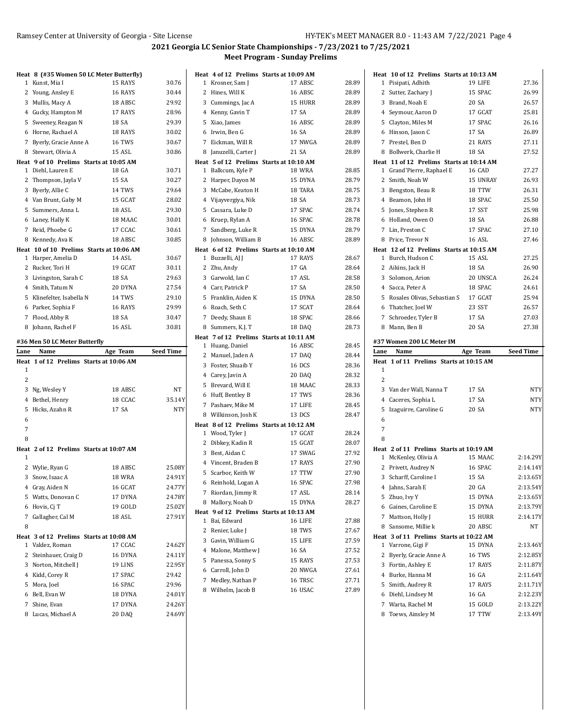|                   | Heat 8 (#35 Women 50 LC Meter Butterfly) |                   |                  |
|-------------------|------------------------------------------|-------------------|------------------|
| 1                 | Kunst, Mia I                             | 15 RAYS           | 30.76            |
|                   | 2 Young, Ansley E                        | 16 RAYS           | 30.44            |
|                   | 3 Mullis, Macy A                         | 18 ABSC           | 29.92            |
|                   | 4 Gucky, Hampton M                       | 17 RAYS           | 28.96            |
|                   | 5 Sweeney, Reagan N                      | 18 SA             | 29.39            |
|                   | 6 Horne, Rachael A                       | 18 RAYS           | 30.02            |
|                   | 7 Byerly, Gracie Anne A                  | 16 TWS            | 30.67            |
|                   | 8 Stewart, Olivia A                      | 15 ASL            | 30.86            |
|                   | Heat 9 of 10 Prelims Starts at 10:05 AM  |                   |                  |
|                   | 1 Diehl, Lauren E                        | 18 GA             | 30.71            |
|                   | 2 Thompson, Jayla V                      | 15 SA             | 30.27            |
|                   | 3 Byerly, Allie C                        | 14 TWS            | 29.64            |
|                   | 4 Van Brunt, Gaby M                      | 15 GCAT           | 28.02            |
|                   | 5 Summers, Anna L                        | 18 ASL            | 29.30            |
|                   | 6 Laney, Hally K                         | 18 MAAC           | 30.01            |
|                   | 7 Reid, Phoebe G                         | 17 CCAC           | 30.61            |
|                   | 8 Kennedy, Ava K                         | 18 ABSC           | 30.85            |
|                   | Heat 10 of 10 Prelims Starts at 10:06 AM |                   |                  |
|                   | 1 Harper, Amelia D                       | 14 ASL            | 30.67            |
|                   | 2 Rucker, Tori H                         | 19 GCAT           | 30.11            |
|                   | 3 Livingston, Sarah C                    | 18 SA             | 29.63            |
|                   | 4 Smith, Tatum N                         | 20 DYNA           | 27.54            |
|                   | 5 Klinefelter, Isabella N                | 14 TWS            | 29.10            |
|                   | 6 Parker, Sophia F                       | 16 RAYS           | 29.99            |
|                   | 7 Flood, Abby R                          | 18 SA             | 30.47            |
|                   | 8 Johann, Rachel F                       | <b>16 ASL</b>     | 30.81            |
|                   |                                          |                   |                  |
|                   | #36 Men 50 LC Meter Butterfly            |                   |                  |
|                   | Name                                     | Age Team          | <b>Seed Time</b> |
|                   | 1 of 12 Prelims Starts at 10:06 AM       |                   |                  |
| 1                 |                                          |                   |                  |
| Lane<br>Heat<br>2 |                                          |                   |                  |
|                   | 3 Ng, Wesley Y                           | 18 ABSC           | NT               |
|                   | 4 Bethel, Henry                          | 18 CCAC           | 35.14Y           |
| 5                 | Hicks, Azahn R                           | 17 SA             | <b>NTY</b>       |
| 6                 |                                          |                   |                  |
| 7                 |                                          |                   |                  |
| 8                 |                                          |                   |                  |
|                   | Heat 2 of 12 Prelims Starts at 10:07 AM  |                   |                  |
| 1                 |                                          |                   |                  |
|                   | 2 Wylie, Ryan G                          | 18 ABSC           | 25.08Y           |
| 3                 | Snow, Isaac A                            | 18 WRA            | 24.91Y           |
|                   | 4 Gray, Aiden N                          | 16 GCAT           | 24.77Y           |
| 5                 | Watts, Donovan C                         | 17 DYNA           | 24.78Y           |
|                   | 6 Hovis, Cj T                            | 19 GOLD           | 25.02Y           |
| 7                 | Gallagher, Cal M                         | 18 ASL            | 27.91Y           |
| 8                 |                                          |                   |                  |
|                   | Heat 3 of 12 Prelims Starts at 10:08 AM  |                   |                  |
| 1                 | Valdez, Roman                            | 17 CCAC           | 24.62Y           |
| $\overline{c}$    | Steinhauer, Craig D                      | 16 DYNA           | 24.11Y           |
|                   | 3 Norton, Mitchell J                     | 19 LINS           | 22.95Y           |
|                   | 4 Kidd, Corey R                          | 17 SPAC           | 29.42            |
|                   | 5 Mora, Joel                             | 16 SPAC           | 29.96            |
|                   | 6 Bell, Evan W                           | 18 DYNA           | 24.01Y           |
|                   | 7 Shine, Evan<br>8 Lucas, Michael A      | 17 DYNA<br>20 DAQ | 24.26Y<br>24.69Y |

|                |                       | Heat 4 of 12 Prelims Starts at 10:09 AM            |       |
|----------------|-----------------------|----------------------------------------------------|-------|
| $\mathbf{1}$   | Krosner, Sam J        | 17 ABSC                                            | 28.89 |
| 2              | Hines, Will K         | 16 ABSC                                            | 28.89 |
|                | 3 Cummings, Jac A     | 15 HURR                                            | 28.89 |
|                | 4 Kenny, Gavin T      | 17 SA                                              | 28.89 |
|                | 5 Xiao, James         | 16 ABSC                                            | 28.89 |
|                | 6 Irwin, Ben G        | 16 SA                                              | 28.89 |
| $\overline{7}$ | Eickman, Will R       | 17 NWGA                                            | 28.89 |
|                | 8 Januzelli, Carter J | 21 SA                                              | 28.89 |
|                |                       | Heat 5 of 12 Prelims Starts at 10:10 AM            |       |
|                | 1 Balkcum, Kyle P     | <b>18 WRA</b>                                      | 28.85 |
| 2              | Harper, Dayon M       | 15 DYNA                                            | 28.79 |
|                | 3 McCabe, Keaton H    | 18 TARA                                            | 28.75 |
|                | 4 Vijayvergiya, Nik   | 18 SA                                              | 28.73 |
|                | 5 Cassara, Luke D     | 17 SPAC                                            | 28.74 |
|                | 6 Kruep, Rylan A      | 16 SPAC                                            | 28.78 |
| $\overline{7}$ | Sandberg, Luke R      | 15 DYNA                                            | 28.79 |
|                | 8 Johnson, William B  | 16 ABSC                                            | 28.89 |
|                |                       | Heat 6 of 12 Prelims Starts at 10:10 AM            |       |
| 1              | Buzzelli, AJ J        | 17 RAYS                                            | 28.67 |
| $\mathbf{2}$   | Zhu, Andy             | 17 GA                                              | 28.64 |
|                | 3 Garwold, Ian C      | 17 ASL                                             | 28.58 |
|                | 4 Carr, Patrick P     | 17 SA                                              | 28.50 |
|                | 5 Franklin, Aiden K   | 15 DYNA                                            | 28.50 |
|                | 6 Roach. Seth C       | 17 SCAT                                            | 28.64 |
| $\overline{7}$ | Deedy, Shaun E        | 18 SPAC                                            | 28.66 |
|                | 8 Summers, K.J. T     | 18 DAQ                                             | 28.73 |
| $\mathbf{1}$   | Huang, Daniel         | Heat 7 of 12 Prelims Starts at 10:11 AM<br>16 ABSC | 28.45 |
|                | 2 Manuel, Jaden A     | 17 DAQ                                             | 28.44 |
| 3              | Foster, Shuaib Y      | 16 DCS                                             | 28.36 |
|                | 4 Carey, Javin A      | 20 DAQ                                             | 28.32 |
| 5              | Brevard, Will E       | 18 MAAC                                            | 28.33 |
|                | 6 Huff, Bentley B     | 17 TWS                                             | 28.36 |
|                | 7 Pashaev, Mike M     | 17 LIFE                                            | 28.45 |
|                | 8 Wilkinson, Josh K   | 13 DCS                                             | 28.47 |
|                |                       | Heat 8 of 12 Prelims Starts at 10:12 AM            |       |
|                | 1 Wood, Tyler J       | 17 GCAT                                            | 28.24 |
|                | 2 Dibkey, Kadin R     | 15 GCAT                                            | 28.07 |
|                | 3 Best, Aidan C       | 17 SWAG                                            | 27.92 |
|                | 4 Vincent, Braden B   | 17 RAYS                                            | 27.90 |
|                | 5 Scarbor, Keith W    | 17 TTW                                             | 27.90 |
|                | 6 Reinhold, Logan A   | 16 SPAC                                            | 27.98 |
| 7              | Riordan, Jimmy R      | 17 ASL                                             | 28.14 |
|                | 8 Mallory, Noah D     | 15 DYNA                                            | 28.27 |
|                |                       | Heat 9 of 12 Prelims Starts at 10:13 AM            |       |
| 1              | Bai, Edward           | 16 LIFE                                            | 27.88 |
| $\mathbf{2}$   | Renier, Luke J        | 18 TWS                                             | 27.67 |
|                | 3 Gavin, William G    | 15 LIFE                                            | 27.59 |
|                | 4 Malone, Matthew J   | 16 SA                                              | 27.52 |
| 5              | Panessa, Sonny S      | 15 RAYS                                            | 27.53 |
|                | 6 Carroll, John D     | 20 NWGA                                            | 27.61 |
| 7              | Medley, Nathan P      | 16 TRSC                                            | 27.71 |
|                | 8 Wilhelm, Jacob B    | 16 USAC                                            | 27.89 |

|      | Heat 10 of 12 Prelims Starts at 10:13 AM |               |                  |
|------|------------------------------------------|---------------|------------------|
|      | 1 Pisipati, Adhith                       | 19 LIFE       | 27.36            |
|      | 2 Sutter, Zachary J                      | 15 SPAC       | 26.99            |
|      | 3 Brand, Noah E                          | 20 SA         | 26.57            |
|      | 4 Seymour, Aaron D                       | 17 GCAT       | 25.81            |
|      | 5 Clayton, Miles M                       | 17 SPAC       | 26.16            |
|      | 6 Hinson, Jason C                        | 17 SA         | 26.89            |
|      | 7 Prestel, Ben D                         | 21 RAYS       | 27.11            |
|      | 8 Bollwerk, Charlie H                    | 18 SA         | 27.52            |
|      | Heat 11 of 12 Prelims Starts at 10:14 AM |               |                  |
|      | 1 Grand'Pierre, Raphael E                | 16 CAD        | 27.27            |
|      | 2 Smith, Noah W                          | 15 UNRAY      | 26.93            |
|      | 3 Bengston, Beau R                       | 18 TTW        | 26.31            |
|      | 4 Beamon, John H                         | 18 SPAC       | 25.50            |
| 5    | Jones, Stephen R                         | 17 SST        | 25.98            |
|      | 6 Holland, Owen O                        | 18 SA         | 26.88            |
|      | 7 Lin, Preston C                         | 17 SPAC       | 27.10            |
|      | 8 Price, Trevor N                        | 16 ASL        | 27.46            |
|      | Heat 12 of 12 Prelims Starts at 10:15 AM |               |                  |
|      | 1 Burch, Hudson C                        | 15 ASL        | 27.25            |
|      | 2 Aikins, Jack H                         | 18 SA         | 26.90            |
|      | 3 Solomon, Arion                         | 20 UNSCA      | 26.24            |
|      | 4 Sacca, Peter A                         | 18 SPAC       | 24.61            |
|      | 5 Rosales Olivas, Sebastian S            | 17 GCAT       | 25.94            |
|      | 6 Thatcher, Joel W                       | 23 SST        | 26.57            |
|      | 7 Schroeder, Tyler B                     | 17 SA         | 27.03            |
| 8    | Mann, Ben B                              | 20 SA         | 27.38            |
|      | #37 Women 200 LC Meter IM                |               |                  |
|      |                                          |               |                  |
|      |                                          |               |                  |
| Lane | Name                                     | Age Team      | <b>Seed Time</b> |
| 1    | Heat 1 of 11 Prelims Starts at 10:15 AM  |               |                  |
| 2    |                                          |               |                  |
|      | 3 Van der Wall, Nanna T                  | 17 SA         | <b>NTY</b>       |
|      | 4 Caceres, Sophia L                      | 17 SA         | <b>NTY</b>       |
| 5    | Izaguirre, Caroline G                    | 20 SA         | <b>NTY</b>       |
| 6    |                                          |               |                  |
| 7    |                                          |               |                  |
| 8    |                                          |               |                  |
|      | Heat 2 of 11 Prelims Starts at 10:19 AM  |               |                  |
| 1    | McKenley, Olivia A                       | 15 MAAC       | 2:14.29Y         |
|      | 2 Privett, Audrey N                      | 16 SPAC       | 2:14.14Y         |
| 3    | Scharff, Caroline I                      | 15 SA         | 2:13.65Y         |
| 4    | Jahns, Sarah E                           | 20 GA         | 2:13.54Y         |
| 5    | Zhuo, Ivy Y                              | 15 DYNA       | 2:13.65Y         |
|      | 6 Gaines, Caroline E                     | 15 DYNA       | 2:13.79Y         |
|      | 7 Mattson, Holly J                       | 15 HURR       | 2:14.17Y         |
|      | 8 Sansome, Millie k                      | 20 ABSC       | NT               |
|      | Heat 3 of 11 Prelims Starts at 10:22 AM  |               |                  |
|      | 1 Varrone, Gigi F                        | 15 DYNA       | 2:13.46Y         |
| 2    | Byerly, Gracie Anne A                    | <b>16 TWS</b> | 2:12.85Y         |
|      | 3 Fortin, Ashley E                       | 17 RAYS       | 2:11.87Y         |
|      | 4 Burke, Hanna M                         | 16 GA         | 2:11.64Y         |
|      | 5 Smith, Audrey R                        | 17 RAYS       | 2:11.71Y         |
|      | 6 Diehl, Lindsey M                       | 16 GA         | 2:12.23Y         |
|      | 7 Warta, Rachel M                        | 15 GOLD       | 2:13.22Y         |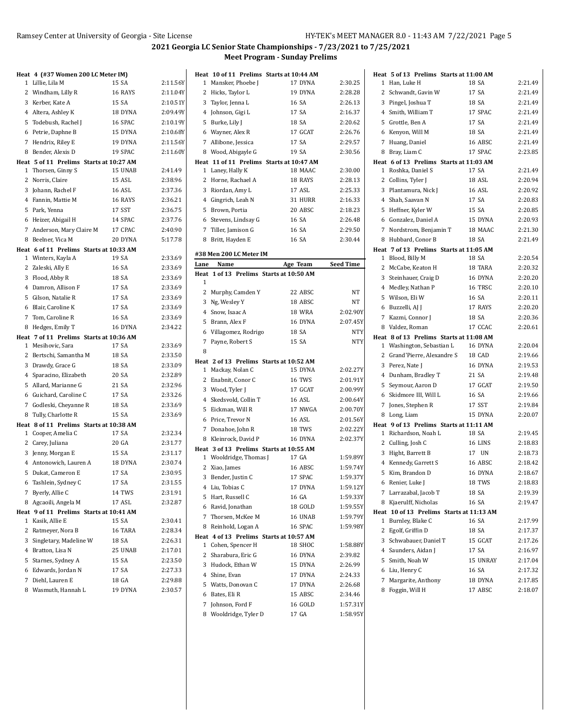|   | Heat 4 (#37 Women 200 LC Meter IM)                            |         |          |
|---|---------------------------------------------------------------|---------|----------|
|   | 1 Lillie, Lila M                                              | 15 SA   | 2:11.56Y |
|   | 2 Windham, Lilly R                                            | 16 RAYS | 2:11.04Y |
|   | 3 Kerber, Kate A                                              | 15 SA   | 2:10.51Y |
|   | 4 Altera, Ashley K                                            | 18 DYNA | 2:09.49Y |
|   | 5 Todebush, Rachel J                                          | 16 SPAC | 2:10.19Y |
|   | 6 Petrie, Daphne B                                            | 15 DYNA | 2:10.68Y |
|   | 7 Hendrix, Riley E                                            | 19 DYNA | 2:11.56Y |
|   | 8 Bender, Alexis D                                            | 19 SPAC | 2:11.60Y |
|   | Heat 5 of 11 Prelims Starts at 10:27 AM                       |         |          |
|   | 1 Thorsen, Ginny S                                            | 15 UNAB | 2:41.49  |
|   | 2 Norris, Claire                                              | 15 ASL  | 2:38.96  |
|   | 3 Johann, Rachel F                                            | 16 ASL  | 2:37.36  |
|   | 4 Fannin, Mattie M                                            | 16 RAYS | 2:36.21  |
|   | 5 Park, Yenna                                                 | 17 SST  | 2:36.75  |
|   | 6 Heizer, Abigail H                                           | 14 SPAC | 2:37.76  |
|   | 7 Anderson, Mary Claire M                                     | 17 CPAC | 2:40.90  |
|   | 8 Beelner, Vica M                                             | 20 DYNA | 5:17.78  |
|   | Heat 6 of 11 Prelims Starts at 10:33 AM<br>1 Winters, Kayla A | 19 SA   | 2:33.69  |
|   | 2 Zaleski, Ally E                                             | 16 SA   | 2:33.69  |
|   | 3 Flood, Abby R                                               | 18 SA   | 2:33.69  |
|   | 4 Damron, Allison F                                           | 17 SA   | 2:33.69  |
|   | 5 Gilson, Natalie R                                           | 17 SA   | 2:33.69  |
|   | 6 Blair, Caroline K                                           | 17 SA   | 2:33.69  |
|   | 7 Tom, Caroline R                                             | 16 SA   | 2:33.69  |
|   | 8 Hedges, Emily T                                             | 16 DYNA | 2:34.22  |
|   | Heat 7 of 11 Prelims Starts at 10:36 AM                       |         |          |
|   | 1 Mesihovic, Sara                                             | 17 SA   | 2:33.69  |
|   | 2 Bertschi, Samantha M                                        | 18 SA   | 2:33.50  |
|   | 3 Drawdy, Grace G                                             | 18 SA   | 2:33.09  |
|   | 4 Sparacino, Elizabeth                                        | 20 SA   | 2:32.89  |
|   | 5 Allard, Marianne G                                          | 21 SA   | 2:32.96  |
|   | 6 Guichard, Caroline C                                        | 17 SA   | 2:33.26  |
|   | 7 Godleski, Cheyanne R                                        | 18 SA   | 2:33.69  |
|   | 8 Tully, Charlotte R                                          | 15 SA   | 2:33.69  |
|   | Heat 8 of 11 Prelims Starts at 10:38 AM                       |         |          |
|   | 1 Cooper, Amelia C                                            | 17 SA   | 2:32.34  |
|   | 2 Carey, Juliana                                              | 20 GA   | 2:31.77  |
|   | 3 Jenny, Morgan E                                             | 15 SA   | 2:31.17  |
|   | 4 Antonowich, Lauren A                                        | 18 DYNA | 2:30.74  |
|   | 5 Dukat, Cameron E                                            | 17 SA   | 2:30.95  |
|   | 6 Tashlein, Sydney C                                          | 17 SA   | 2:31.55  |
| 7 | Byerly, Allie C                                               | 14 TWS  | 2:31.91  |
|   | 8 Agcaoili, Angela M                                          | 17 ASL  | 2:32.87  |
|   | Heat 9 of 11 Prelims Starts at 10:41 AM                       |         |          |
| 1 | Kasik, Allie E                                                | 15 SA   | 2:30.41  |
|   | 2 Ratmeyer, Nora B                                            | 16 TARA | 2:28.34  |
|   | 3 Singletary, Madeline W                                      | 18 SA   | 2:26.31  |
|   | 4 Bratton, Lisa N                                             | 25 UNAB | 2:17.01  |
|   | 5 Starnes, Sydney A                                           | 15 SA   | 2:23.50  |
|   | 6 Edwards, Jordan N                                           | 17 SA   | 2:27.33  |
|   | 7 Diehl, Lauren E                                             | 18 GA   | 2:29.88  |
|   | 8 Wasmuth, Hannah L                                           | 19 DYNA | 2:30.57  |

| Heat         |                                                                   | 10 of 11 Prelims Starts at 10:44 AM |                      |
|--------------|-------------------------------------------------------------------|-------------------------------------|----------------------|
| 1            | Mansker, Phoebe J                                                 | 17 DYNA                             | 2:30.25              |
| 2            | Hicks, Taylor L                                                   | 19 DYNA                             | 2:28.28              |
|              | 3 Taylor, Jenna L                                                 | 16 SA                               | 2:26.13              |
|              | 4 Johnson, Gigi L                                                 | 17 SA                               | 2:16.37              |
|              | 5 Burke, Lily J                                                   | 18 SA                               | 2:20.62              |
|              | 6 Wayner, Alex R                                                  | 17 GCAT                             | 2:26.76              |
|              | 7 Allibone, Jessica                                               | 17 SA                               | 2:29.57              |
|              | 8 Wood, Abigayle G                                                | 19 SA                               | 2:30.56              |
|              | Heat 11 of 11 Prelims Starts at 10:47 AM                          |                                     |                      |
| $\mathbf{1}$ | Laney, Hally K                                                    | 18 MAAC                             | 2:30.00              |
| 2            | Horne, Rachael A                                                  | 18 RAYS                             | 2:28.13              |
| 3            | Riordan, Amy L                                                    | 17 ASL                              | 2:25.33              |
|              | 4 Gingrich, Leah N                                                | 31 HURR                             | 2:16.33              |
| 5            | Brown, Portia                                                     | 20 ABSC                             | 2:18.23              |
| 6            | Stevens, Lindsay G                                                | 16 SA                               | 2:26.48              |
| 7            | Tiller, Jamison G                                                 | 16 SA                               | 2:29.50              |
| 8            | Britt, Hayden E                                                   | 16 SA                               | 2:30.44              |
|              |                                                                   |                                     |                      |
|              | #38 Men 200 LC Meter IM<br>Name                                   |                                     |                      |
| Lane         |                                                                   | Age Team                            | <b>Seed Time</b>     |
| 1            | Heat 1 of 13 Prelims Starts at 10:50 AM                           |                                     |                      |
|              | 2 Murphy, Camden Y                                                | 22 ABSC                             | NΤ                   |
| 3            | Ng, Wesley Y                                                      | 18 ABSC                             | NT                   |
|              | 4 Snow, Isaac A                                                   | <b>18 WRA</b>                       | 2:02.90Y             |
| 5            | Brann, Alex F                                                     | 16 DYNA                             | 2:07.45Y             |
|              | 6 Villagomez, Rodrigo                                             | 18 SA                               | <b>NTY</b>           |
| 7            | Payne, Robert S                                                   | 15 SA                               | <b>NTY</b>           |
| 8            |                                                                   |                                     |                      |
|              | Heat 2 of 13 Prelims Starts at 10:52 AM                           |                                     |                      |
|              | 1 Mackay, Nolan C                                                 | 15 DYNA                             | 2:02.27Y             |
| 2            | Enabnit, Conor C                                                  | <b>16 TWS</b>                       | 2:01.91Y             |
|              | 3 Wood, Tyler J                                                   | 17 GCAT                             | 2:00.99Y             |
|              | 4 Skedsvold, Collin T                                             | 16 ASL                              | 2:00.64Y             |
|              | 5 Eickman, Will R                                                 | 17 NWGA                             | 2:00.70Y             |
|              | 6 Price, Trevor N                                                 | 16 ASL                              | 2:01.56Y             |
|              | 7 Donahoe, John R                                                 | 18 TWS                              | 2:02.22Y             |
|              |                                                                   |                                     | 2:02.37Y             |
| 8            | Kleinrock, David P                                                | 16 DYNA                             |                      |
|              | Heat 3 of 13 Prelims Starts at 10:55 AM<br>1 Wooldridge, Thomas J | 17 GA                               | 1:59.89Y             |
|              | 2 Xiao, James                                                     | 16 ABSC                             | 1:59.74Y             |
|              | 3 Bender, Justin C                                                | 17 SPAC                             | 1:59.37Y             |
|              |                                                                   |                                     |                      |
| 4<br>5       | Liu, Tobias C<br>Hart, Russell C                                  | 17 DYNA<br>16 GA                    | 1:59.12Y<br>1:59.33Y |
|              | 6 Ravid, Jonathan                                                 | 18 GOLD                             |                      |
|              |                                                                   |                                     | 1:59.55Y             |
| 7<br>8       | Thorsen, McKee M<br>Reinhold, Logan A                             | 16 UNAB<br>16 SPAC                  | 1:59.79Y<br>1:59.98Y |
|              | Heat 4 of 13 Prelims Starts at 10:57 AM                           |                                     |                      |
| 1            | Cohen, Spencer H                                                  | 18 SHOC                             | 1:58.88Y             |
| 2            | Sharabura, Eric G                                                 | 16 DYNA                             | 2:39.82              |
| 3            | Hudock, Ethan W                                                   | 15 DYNA                             | 2:26.99              |
|              | 4 Shine, Evan                                                     | 17 DYNA                             | 2:24.33              |
|              | 5 Watts, Donovan C                                                | 17 DYNA                             | 2:26.68              |
| 6            | Bates, Eli R                                                      | 15 ABSC                             | 2:34.46              |
| 7            | Johnson, Ford F                                                   | 16 GOLD                             | 1:57.31Y             |
| 8            | Wooldridge, Tyler D                                               | 17 GA                               | 1:58.95Y             |
|              |                                                                   |                                     |                      |

| Han, Luke H<br>18 SA<br>2:21.49<br>1<br>17 SA<br>2<br>Schwandt, Gavin W<br>2:21.49<br>3<br>18 SA<br>2:21.49<br>Pingel, Joshua T<br>Smith, William T<br>17 SPAC<br>2:21.49<br>4<br>17 SA<br>2:21.49<br>5<br>Grottle, Ben A<br>Kenyon, Will M<br>18 SA<br>2:21.49<br>6<br>16 ABSC<br>2:21.49<br>7<br>Huang, Daniel<br>17 SPAC<br>2:23.85<br>8<br>Bray, Liam C<br>Heat 6 of 13 Prelims Starts at 11:03 AM<br>17 SA<br>Roshka, Daniel S<br>2:21.49<br>1<br>18 ASL<br>2<br>Collins, Tyler J<br>2:20.94<br>3<br>2:20.92<br>Plantamura, Nick J<br>16 ASL<br>17 SA<br>Shah, Saavan N<br>2:20.83<br>4<br>Heffner, Kyler W<br>15 SA<br>5<br>2:20.85<br>15 DYNA<br>Gonzalez, Daniel A<br>2:20.93<br>6<br>Nordstrom, Benjamin T<br>18 MAAC<br>2:21.30<br>7<br>Hubbard, Conor B<br>18 SA<br>2:21.49<br>8<br>Heat 7 of 13 Prelims Starts at 11:05 AM<br>Blood, Billy M<br>18 SA<br>2:20.54<br>1<br>2<br>McCabe, Keaton H<br>18 TARA<br>2:20.32<br>16 DYNA<br>2:20.20<br>3<br>Steinhauer, Craig D<br>16 TRSC<br>2:20.10<br>4<br>Medley, Nathan P<br>Wilson, Eli W<br>16 SA<br>5<br>2:20.11<br>17 RAYS<br>2:20.20<br>6 Buzzelli, AJ J<br>18 SA<br>2:20.36<br>7 Kazmi, Connor J<br>8 Valdez, Roman<br>17 CCAC<br>2:20.61<br>Heat 8 of 13 Prelims Starts at 11:08 AM<br>Washington, Sebastian L<br>16 DYNA<br>2:20.04<br>1<br>Grand'Pierre, Alexandre S<br>2<br>18 CAD<br>2:19.66<br>3<br>Perez, Nate J<br>16 DYNA<br>2:19.53<br>Dunham, Bradley T<br>21 SA<br>2:19.48<br>4<br>Seymour, Aaron D<br>17 GCAT<br>2:19.50<br>5<br>Skidmore III, Will L<br>16 SA<br>2:19.66<br>6<br>2:19.84<br>7<br>Jones, Stephen R<br>17 SST<br>2:20.07<br>8<br>Long, Liam<br>15 DYNA<br>Heat 9 of 13 Prelims Starts at 11:11 AM<br>Richardson, Noah L<br>18 SA<br>2:19.45<br>1<br>2:18.83<br>2<br>Culling, Josh C<br>16 LINS<br>3<br>Hight, Barrett B<br>17 UN<br>2:18.73<br>16 ABSC<br>4<br>Kennedy, Garrett S<br>2:18.42<br>16 DYNA<br>5<br>Kim, Brandon D<br>2:18.67<br>18 TWS<br>6 Renier, Luke J<br>2:18.83<br>7 Larrazabal, Jacob T<br>18 SA<br>2:19.39<br>16 SA<br>Kjaerulff, Nicholas<br>2:19.47<br>8 |
|---------------------------------------------------------------------------------------------------------------------------------------------------------------------------------------------------------------------------------------------------------------------------------------------------------------------------------------------------------------------------------------------------------------------------------------------------------------------------------------------------------------------------------------------------------------------------------------------------------------------------------------------------------------------------------------------------------------------------------------------------------------------------------------------------------------------------------------------------------------------------------------------------------------------------------------------------------------------------------------------------------------------------------------------------------------------------------------------------------------------------------------------------------------------------------------------------------------------------------------------------------------------------------------------------------------------------------------------------------------------------------------------------------------------------------------------------------------------------------------------------------------------------------------------------------------------------------------------------------------------------------------------------------------------------------------------------------------------------------------------------------------------------------------------------------------------------------------------------------------------------------------------------------------------------------------------------------------------------------------------------------------------------------------------------------------------------|
|                                                                                                                                                                                                                                                                                                                                                                                                                                                                                                                                                                                                                                                                                                                                                                                                                                                                                                                                                                                                                                                                                                                                                                                                                                                                                                                                                                                                                                                                                                                                                                                                                                                                                                                                                                                                                                                                                                                                                                                                                                                                           |
|                                                                                                                                                                                                                                                                                                                                                                                                                                                                                                                                                                                                                                                                                                                                                                                                                                                                                                                                                                                                                                                                                                                                                                                                                                                                                                                                                                                                                                                                                                                                                                                                                                                                                                                                                                                                                                                                                                                                                                                                                                                                           |
|                                                                                                                                                                                                                                                                                                                                                                                                                                                                                                                                                                                                                                                                                                                                                                                                                                                                                                                                                                                                                                                                                                                                                                                                                                                                                                                                                                                                                                                                                                                                                                                                                                                                                                                                                                                                                                                                                                                                                                                                                                                                           |
|                                                                                                                                                                                                                                                                                                                                                                                                                                                                                                                                                                                                                                                                                                                                                                                                                                                                                                                                                                                                                                                                                                                                                                                                                                                                                                                                                                                                                                                                                                                                                                                                                                                                                                                                                                                                                                                                                                                                                                                                                                                                           |
|                                                                                                                                                                                                                                                                                                                                                                                                                                                                                                                                                                                                                                                                                                                                                                                                                                                                                                                                                                                                                                                                                                                                                                                                                                                                                                                                                                                                                                                                                                                                                                                                                                                                                                                                                                                                                                                                                                                                                                                                                                                                           |
|                                                                                                                                                                                                                                                                                                                                                                                                                                                                                                                                                                                                                                                                                                                                                                                                                                                                                                                                                                                                                                                                                                                                                                                                                                                                                                                                                                                                                                                                                                                                                                                                                                                                                                                                                                                                                                                                                                                                                                                                                                                                           |
|                                                                                                                                                                                                                                                                                                                                                                                                                                                                                                                                                                                                                                                                                                                                                                                                                                                                                                                                                                                                                                                                                                                                                                                                                                                                                                                                                                                                                                                                                                                                                                                                                                                                                                                                                                                                                                                                                                                                                                                                                                                                           |
|                                                                                                                                                                                                                                                                                                                                                                                                                                                                                                                                                                                                                                                                                                                                                                                                                                                                                                                                                                                                                                                                                                                                                                                                                                                                                                                                                                                                                                                                                                                                                                                                                                                                                                                                                                                                                                                                                                                                                                                                                                                                           |
|                                                                                                                                                                                                                                                                                                                                                                                                                                                                                                                                                                                                                                                                                                                                                                                                                                                                                                                                                                                                                                                                                                                                                                                                                                                                                                                                                                                                                                                                                                                                                                                                                                                                                                                                                                                                                                                                                                                                                                                                                                                                           |
|                                                                                                                                                                                                                                                                                                                                                                                                                                                                                                                                                                                                                                                                                                                                                                                                                                                                                                                                                                                                                                                                                                                                                                                                                                                                                                                                                                                                                                                                                                                                                                                                                                                                                                                                                                                                                                                                                                                                                                                                                                                                           |
|                                                                                                                                                                                                                                                                                                                                                                                                                                                                                                                                                                                                                                                                                                                                                                                                                                                                                                                                                                                                                                                                                                                                                                                                                                                                                                                                                                                                                                                                                                                                                                                                                                                                                                                                                                                                                                                                                                                                                                                                                                                                           |
|                                                                                                                                                                                                                                                                                                                                                                                                                                                                                                                                                                                                                                                                                                                                                                                                                                                                                                                                                                                                                                                                                                                                                                                                                                                                                                                                                                                                                                                                                                                                                                                                                                                                                                                                                                                                                                                                                                                                                                                                                                                                           |
|                                                                                                                                                                                                                                                                                                                                                                                                                                                                                                                                                                                                                                                                                                                                                                                                                                                                                                                                                                                                                                                                                                                                                                                                                                                                                                                                                                                                                                                                                                                                                                                                                                                                                                                                                                                                                                                                                                                                                                                                                                                                           |
|                                                                                                                                                                                                                                                                                                                                                                                                                                                                                                                                                                                                                                                                                                                                                                                                                                                                                                                                                                                                                                                                                                                                                                                                                                                                                                                                                                                                                                                                                                                                                                                                                                                                                                                                                                                                                                                                                                                                                                                                                                                                           |
|                                                                                                                                                                                                                                                                                                                                                                                                                                                                                                                                                                                                                                                                                                                                                                                                                                                                                                                                                                                                                                                                                                                                                                                                                                                                                                                                                                                                                                                                                                                                                                                                                                                                                                                                                                                                                                                                                                                                                                                                                                                                           |
|                                                                                                                                                                                                                                                                                                                                                                                                                                                                                                                                                                                                                                                                                                                                                                                                                                                                                                                                                                                                                                                                                                                                                                                                                                                                                                                                                                                                                                                                                                                                                                                                                                                                                                                                                                                                                                                                                                                                                                                                                                                                           |
|                                                                                                                                                                                                                                                                                                                                                                                                                                                                                                                                                                                                                                                                                                                                                                                                                                                                                                                                                                                                                                                                                                                                                                                                                                                                                                                                                                                                                                                                                                                                                                                                                                                                                                                                                                                                                                                                                                                                                                                                                                                                           |
|                                                                                                                                                                                                                                                                                                                                                                                                                                                                                                                                                                                                                                                                                                                                                                                                                                                                                                                                                                                                                                                                                                                                                                                                                                                                                                                                                                                                                                                                                                                                                                                                                                                                                                                                                                                                                                                                                                                                                                                                                                                                           |
|                                                                                                                                                                                                                                                                                                                                                                                                                                                                                                                                                                                                                                                                                                                                                                                                                                                                                                                                                                                                                                                                                                                                                                                                                                                                                                                                                                                                                                                                                                                                                                                                                                                                                                                                                                                                                                                                                                                                                                                                                                                                           |
|                                                                                                                                                                                                                                                                                                                                                                                                                                                                                                                                                                                                                                                                                                                                                                                                                                                                                                                                                                                                                                                                                                                                                                                                                                                                                                                                                                                                                                                                                                                                                                                                                                                                                                                                                                                                                                                                                                                                                                                                                                                                           |
|                                                                                                                                                                                                                                                                                                                                                                                                                                                                                                                                                                                                                                                                                                                                                                                                                                                                                                                                                                                                                                                                                                                                                                                                                                                                                                                                                                                                                                                                                                                                                                                                                                                                                                                                                                                                                                                                                                                                                                                                                                                                           |
|                                                                                                                                                                                                                                                                                                                                                                                                                                                                                                                                                                                                                                                                                                                                                                                                                                                                                                                                                                                                                                                                                                                                                                                                                                                                                                                                                                                                                                                                                                                                                                                                                                                                                                                                                                                                                                                                                                                                                                                                                                                                           |
|                                                                                                                                                                                                                                                                                                                                                                                                                                                                                                                                                                                                                                                                                                                                                                                                                                                                                                                                                                                                                                                                                                                                                                                                                                                                                                                                                                                                                                                                                                                                                                                                                                                                                                                                                                                                                                                                                                                                                                                                                                                                           |
|                                                                                                                                                                                                                                                                                                                                                                                                                                                                                                                                                                                                                                                                                                                                                                                                                                                                                                                                                                                                                                                                                                                                                                                                                                                                                                                                                                                                                                                                                                                                                                                                                                                                                                                                                                                                                                                                                                                                                                                                                                                                           |
|                                                                                                                                                                                                                                                                                                                                                                                                                                                                                                                                                                                                                                                                                                                                                                                                                                                                                                                                                                                                                                                                                                                                                                                                                                                                                                                                                                                                                                                                                                                                                                                                                                                                                                                                                                                                                                                                                                                                                                                                                                                                           |
|                                                                                                                                                                                                                                                                                                                                                                                                                                                                                                                                                                                                                                                                                                                                                                                                                                                                                                                                                                                                                                                                                                                                                                                                                                                                                                                                                                                                                                                                                                                                                                                                                                                                                                                                                                                                                                                                                                                                                                                                                                                                           |
|                                                                                                                                                                                                                                                                                                                                                                                                                                                                                                                                                                                                                                                                                                                                                                                                                                                                                                                                                                                                                                                                                                                                                                                                                                                                                                                                                                                                                                                                                                                                                                                                                                                                                                                                                                                                                                                                                                                                                                                                                                                                           |
|                                                                                                                                                                                                                                                                                                                                                                                                                                                                                                                                                                                                                                                                                                                                                                                                                                                                                                                                                                                                                                                                                                                                                                                                                                                                                                                                                                                                                                                                                                                                                                                                                                                                                                                                                                                                                                                                                                                                                                                                                                                                           |
|                                                                                                                                                                                                                                                                                                                                                                                                                                                                                                                                                                                                                                                                                                                                                                                                                                                                                                                                                                                                                                                                                                                                                                                                                                                                                                                                                                                                                                                                                                                                                                                                                                                                                                                                                                                                                                                                                                                                                                                                                                                                           |
|                                                                                                                                                                                                                                                                                                                                                                                                                                                                                                                                                                                                                                                                                                                                                                                                                                                                                                                                                                                                                                                                                                                                                                                                                                                                                                                                                                                                                                                                                                                                                                                                                                                                                                                                                                                                                                                                                                                                                                                                                                                                           |
|                                                                                                                                                                                                                                                                                                                                                                                                                                                                                                                                                                                                                                                                                                                                                                                                                                                                                                                                                                                                                                                                                                                                                                                                                                                                                                                                                                                                                                                                                                                                                                                                                                                                                                                                                                                                                                                                                                                                                                                                                                                                           |
|                                                                                                                                                                                                                                                                                                                                                                                                                                                                                                                                                                                                                                                                                                                                                                                                                                                                                                                                                                                                                                                                                                                                                                                                                                                                                                                                                                                                                                                                                                                                                                                                                                                                                                                                                                                                                                                                                                                                                                                                                                                                           |
|                                                                                                                                                                                                                                                                                                                                                                                                                                                                                                                                                                                                                                                                                                                                                                                                                                                                                                                                                                                                                                                                                                                                                                                                                                                                                                                                                                                                                                                                                                                                                                                                                                                                                                                                                                                                                                                                                                                                                                                                                                                                           |
|                                                                                                                                                                                                                                                                                                                                                                                                                                                                                                                                                                                                                                                                                                                                                                                                                                                                                                                                                                                                                                                                                                                                                                                                                                                                                                                                                                                                                                                                                                                                                                                                                                                                                                                                                                                                                                                                                                                                                                                                                                                                           |
|                                                                                                                                                                                                                                                                                                                                                                                                                                                                                                                                                                                                                                                                                                                                                                                                                                                                                                                                                                                                                                                                                                                                                                                                                                                                                                                                                                                                                                                                                                                                                                                                                                                                                                                                                                                                                                                                                                                                                                                                                                                                           |
|                                                                                                                                                                                                                                                                                                                                                                                                                                                                                                                                                                                                                                                                                                                                                                                                                                                                                                                                                                                                                                                                                                                                                                                                                                                                                                                                                                                                                                                                                                                                                                                                                                                                                                                                                                                                                                                                                                                                                                                                                                                                           |
|                                                                                                                                                                                                                                                                                                                                                                                                                                                                                                                                                                                                                                                                                                                                                                                                                                                                                                                                                                                                                                                                                                                                                                                                                                                                                                                                                                                                                                                                                                                                                                                                                                                                                                                                                                                                                                                                                                                                                                                                                                                                           |
|                                                                                                                                                                                                                                                                                                                                                                                                                                                                                                                                                                                                                                                                                                                                                                                                                                                                                                                                                                                                                                                                                                                                                                                                                                                                                                                                                                                                                                                                                                                                                                                                                                                                                                                                                                                                                                                                                                                                                                                                                                                                           |
|                                                                                                                                                                                                                                                                                                                                                                                                                                                                                                                                                                                                                                                                                                                                                                                                                                                                                                                                                                                                                                                                                                                                                                                                                                                                                                                                                                                                                                                                                                                                                                                                                                                                                                                                                                                                                                                                                                                                                                                                                                                                           |
|                                                                                                                                                                                                                                                                                                                                                                                                                                                                                                                                                                                                                                                                                                                                                                                                                                                                                                                                                                                                                                                                                                                                                                                                                                                                                                                                                                                                                                                                                                                                                                                                                                                                                                                                                                                                                                                                                                                                                                                                                                                                           |
|                                                                                                                                                                                                                                                                                                                                                                                                                                                                                                                                                                                                                                                                                                                                                                                                                                                                                                                                                                                                                                                                                                                                                                                                                                                                                                                                                                                                                                                                                                                                                                                                                                                                                                                                                                                                                                                                                                                                                                                                                                                                           |
|                                                                                                                                                                                                                                                                                                                                                                                                                                                                                                                                                                                                                                                                                                                                                                                                                                                                                                                                                                                                                                                                                                                                                                                                                                                                                                                                                                                                                                                                                                                                                                                                                                                                                                                                                                                                                                                                                                                                                                                                                                                                           |
|                                                                                                                                                                                                                                                                                                                                                                                                                                                                                                                                                                                                                                                                                                                                                                                                                                                                                                                                                                                                                                                                                                                                                                                                                                                                                                                                                                                                                                                                                                                                                                                                                                                                                                                                                                                                                                                                                                                                                                                                                                                                           |
| Heat 10 of 13 Prelims Starts at 11:13 AM<br>1<br>16 SA                                                                                                                                                                                                                                                                                                                                                                                                                                                                                                                                                                                                                                                                                                                                                                                                                                                                                                                                                                                                                                                                                                                                                                                                                                                                                                                                                                                                                                                                                                                                                                                                                                                                                                                                                                                                                                                                                                                                                                                                                    |
| Burnley, Blake C<br>2:17.99<br>18 SA<br>Egolf, Griffin D<br>2:17.37                                                                                                                                                                                                                                                                                                                                                                                                                                                                                                                                                                                                                                                                                                                                                                                                                                                                                                                                                                                                                                                                                                                                                                                                                                                                                                                                                                                                                                                                                                                                                                                                                                                                                                                                                                                                                                                                                                                                                                                                       |
| 2<br>15 GCAT<br>3<br>Schwabauer, Daniel T<br>2:17.26                                                                                                                                                                                                                                                                                                                                                                                                                                                                                                                                                                                                                                                                                                                                                                                                                                                                                                                                                                                                                                                                                                                                                                                                                                                                                                                                                                                                                                                                                                                                                                                                                                                                                                                                                                                                                                                                                                                                                                                                                      |
| 17 SA<br>4 Saunders, Aidan J<br>2:16.97                                                                                                                                                                                                                                                                                                                                                                                                                                                                                                                                                                                                                                                                                                                                                                                                                                                                                                                                                                                                                                                                                                                                                                                                                                                                                                                                                                                                                                                                                                                                                                                                                                                                                                                                                                                                                                                                                                                                                                                                                                   |
| 15 UNRAY<br>5<br>Smith, Noah W<br>2:17.04                                                                                                                                                                                                                                                                                                                                                                                                                                                                                                                                                                                                                                                                                                                                                                                                                                                                                                                                                                                                                                                                                                                                                                                                                                                                                                                                                                                                                                                                                                                                                                                                                                                                                                                                                                                                                                                                                                                                                                                                                                 |
|                                                                                                                                                                                                                                                                                                                                                                                                                                                                                                                                                                                                                                                                                                                                                                                                                                                                                                                                                                                                                                                                                                                                                                                                                                                                                                                                                                                                                                                                                                                                                                                                                                                                                                                                                                                                                                                                                                                                                                                                                                                                           |
|                                                                                                                                                                                                                                                                                                                                                                                                                                                                                                                                                                                                                                                                                                                                                                                                                                                                                                                                                                                                                                                                                                                                                                                                                                                                                                                                                                                                                                                                                                                                                                                                                                                                                                                                                                                                                                                                                                                                                                                                                                                                           |
| 16 SA<br>6 Liu, Henry C<br>2:17.32<br>18 DYNA<br>7<br>Margarite, Anthony<br>2:17.85                                                                                                                                                                                                                                                                                                                                                                                                                                                                                                                                                                                                                                                                                                                                                                                                                                                                                                                                                                                                                                                                                                                                                                                                                                                                                                                                                                                                                                                                                                                                                                                                                                                                                                                                                                                                                                                                                                                                                                                       |